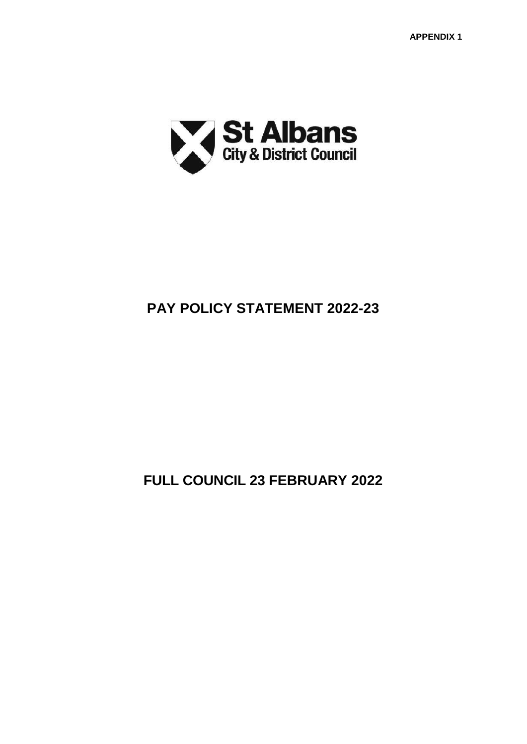

# **PAY POLICY STATEMENT 2022-23**

**FULL COUNCIL 23 FEBRUARY 2022**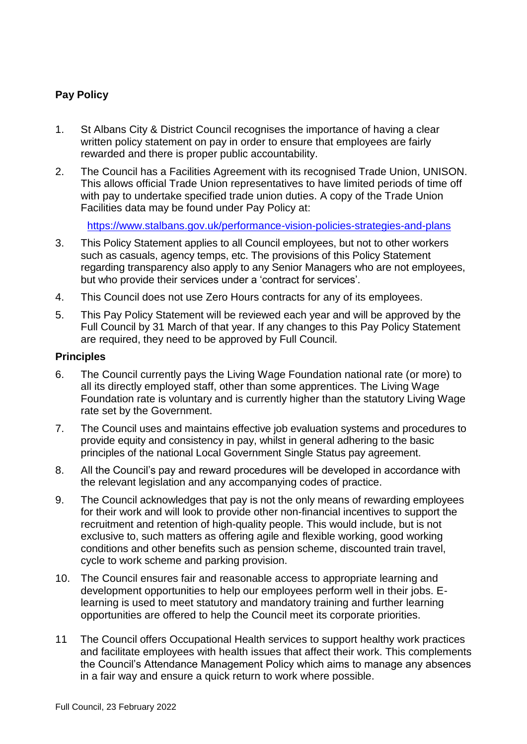# **Pay Policy**

- 1. St Albans City & District Council recognises the importance of having a clear written policy statement on pay in order to ensure that employees are fairly rewarded and there is proper public accountability.
- 2. The Council has a Facilities Agreement with its recognised Trade Union, UNISON. This allows official Trade Union representatives to have limited periods of time off with pay to undertake specified trade union duties. A copy of the Trade Union Facilities data may be found under Pay Policy at:

<https://www.stalbans.gov.uk/performance-vision-policies-strategies-and-plans>

- 3. This Policy Statement applies to all Council employees, but not to other workers such as casuals, agency temps, etc. The provisions of this Policy Statement regarding transparency also apply to any Senior Managers who are not employees, but who provide their services under a 'contract for services'.
- 4. This Council does not use Zero Hours contracts for any of its employees.
- 5. This Pay Policy Statement will be reviewed each year and will be approved by the Full Council by 31 March of that year. If any changes to this Pay Policy Statement are required, they need to be approved by Full Council.

# **Principles**

- 6. The Council currently pays the Living Wage Foundation national rate (or more) to all its directly employed staff, other than some apprentices. The Living Wage Foundation rate is voluntary and is currently higher than the statutory Living Wage rate set by the Government.
- 7. The Council uses and maintains effective job evaluation systems and procedures to provide equity and consistency in pay, whilst in general adhering to the basic principles of the national Local Government Single Status pay agreement.
- 8. All the Council's pay and reward procedures will be developed in accordance with the relevant legislation and any accompanying codes of practice.
- 9. The Council acknowledges that pay is not the only means of rewarding employees for their work and will look to provide other non-financial incentives to support the recruitment and retention of high-quality people. This would include, but is not exclusive to, such matters as offering agile and flexible working, good working conditions and other benefits such as pension scheme, discounted train travel, cycle to work scheme and parking provision.
- 10. The Council ensures fair and reasonable access to appropriate learning and development opportunities to help our employees perform well in their jobs. Elearning is used to meet statutory and mandatory training and further learning opportunities are offered to help the Council meet its corporate priorities.
- 11 The Council offers Occupational Health services to support healthy work practices and facilitate employees with health issues that affect their work. This complements the Council's Attendance Management Policy which aims to manage any absences in a fair way and ensure a quick return to work where possible.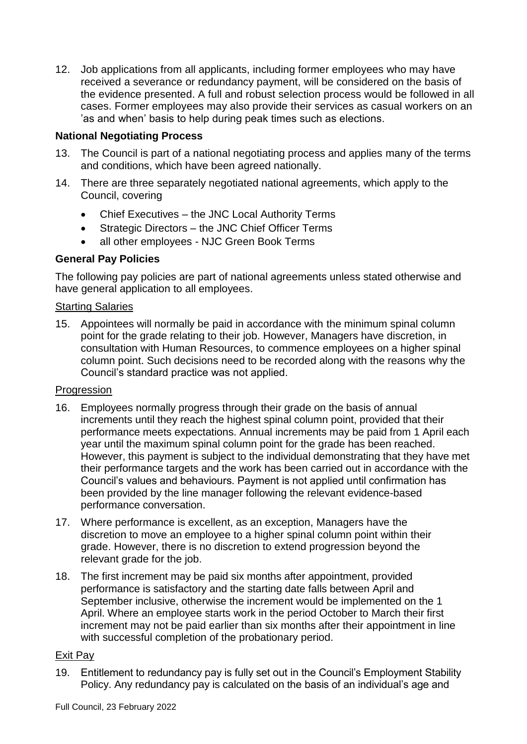12. Job applications from all applicants, including former employees who may have received a severance or redundancy payment, will be considered on the basis of the evidence presented. A full and robust selection process would be followed in all cases. Former employees may also provide their services as casual workers on an 'as and when' basis to help during peak times such as elections.

# **National Negotiating Process**

- 13. The Council is part of a national negotiating process and applies many of the terms and conditions, which have been agreed nationally.
- 14. There are three separately negotiated national agreements, which apply to the Council, covering
	- Chief Executives the JNC Local Authority Terms
	- Strategic Directors the JNC Chief Officer Terms
	- all other employees NJC Green Book Terms

# **General Pay Policies**

The following pay policies are part of national agreements unless stated otherwise and have general application to all employees.

#### Starting Salaries

15. Appointees will normally be paid in accordance with the minimum spinal column point for the grade relating to their job. However, Managers have discretion, in consultation with Human Resources, to commence employees on a higher spinal column point. Such decisions need to be recorded along with the reasons why the Council's standard practice was not applied.

# Progression

- 16. Employees normally progress through their grade on the basis of annual increments until they reach the highest spinal column point, provided that their performance meets expectations. Annual increments may be paid from 1 April each year until the maximum spinal column point for the grade has been reached. However, this payment is subject to the individual demonstrating that they have met their performance targets and the work has been carried out in accordance with the Council's values and behaviours. Payment is not applied until confirmation has been provided by the line manager following the relevant evidence-based performance conversation.
- 17. Where performance is excellent, as an exception, Managers have the discretion to move an employee to a higher spinal column point within their grade. However, there is no discretion to extend progression beyond the relevant grade for the job.
- 18. The first increment may be paid six months after appointment, provided performance is satisfactory and the starting date falls between April and September inclusive, otherwise the increment would be implemented on the 1 April. Where an employee starts work in the period October to March their first increment may not be paid earlier than six months after their appointment in line with successful completion of the probationary period.

# Exit Pay

19. Entitlement to redundancy pay is fully set out in the Council's Employment Stability Policy. Any redundancy pay is calculated on the basis of an individual's age and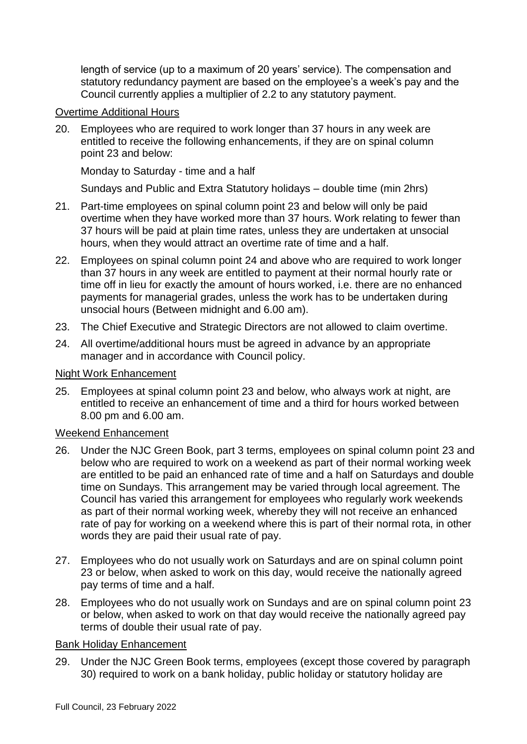length of service (up to a maximum of 20 years' service). The compensation and statutory redundancy payment are based on the employee's a week's pay and the Council currently applies a multiplier of 2.2 to any statutory payment.

#### Overtime Additional Hours

20. Employees who are required to work longer than 37 hours in any week are entitled to receive the following enhancements, if they are on spinal column point 23 and below:

Monday to Saturday - time and a half

Sundays and Public and Extra Statutory holidays – double time (min 2hrs)

- 21. Part-time employees on spinal column point 23 and below will only be paid overtime when they have worked more than 37 hours. Work relating to fewer than 37 hours will be paid at plain time rates, unless they are undertaken at unsocial hours, when they would attract an overtime rate of time and a half.
- 22. Employees on spinal column point 24 and above who are required to work longer than 37 hours in any week are entitled to payment at their normal hourly rate or time off in lieu for exactly the amount of hours worked, i.e. there are no enhanced payments for managerial grades, unless the work has to be undertaken during unsocial hours (Between midnight and 6.00 am).
- 23. The Chief Executive and Strategic Directors are not allowed to claim overtime.
- 24. All overtime/additional hours must be agreed in advance by an appropriate manager and in accordance with Council policy.

#### Night Work Enhancement

25. Employees at spinal column point 23 and below, who always work at night, are entitled to receive an enhancement of time and a third for hours worked between 8.00 pm and 6.00 am.

# Weekend Enhancement

- 26. Under the NJC Green Book, part 3 terms, employees on spinal column point 23 and below who are required to work on a weekend as part of their normal working week are entitled to be paid an enhanced rate of time and a half on Saturdays and double time on Sundays. This arrangement may be varied through local agreement. The Council has varied this arrangement for employees who regularly work weekends as part of their normal working week, whereby they will not receive an enhanced rate of pay for working on a weekend where this is part of their normal rota, in other words they are paid their usual rate of pay.
- 27. Employees who do not usually work on Saturdays and are on spinal column point 23 or below, when asked to work on this day, would receive the nationally agreed pay terms of time and a half.
- 28. Employees who do not usually work on Sundays and are on spinal column point 23 or below, when asked to work on that day would receive the nationally agreed pay terms of double their usual rate of pay.

#### Bank Holiday Enhancement

29. Under the NJC Green Book terms, employees (except those covered by paragraph 30) required to work on a bank holiday, public holiday or statutory holiday are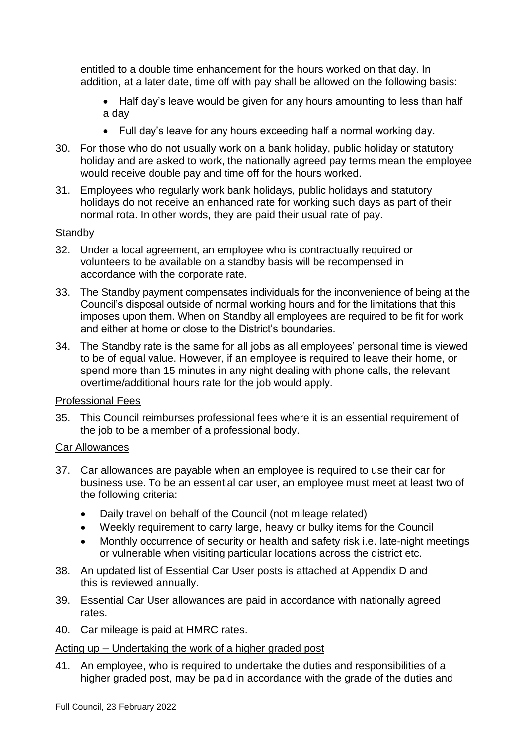entitled to a double time enhancement for the hours worked on that day. In addition, at a later date, time off with pay shall be allowed on the following basis:

- Half day's leave would be given for any hours amounting to less than half a day
- Full day's leave for any hours exceeding half a normal working day.
- 30. For those who do not usually work on a bank holiday, public holiday or statutory holiday and are asked to work, the nationally agreed pay terms mean the employee would receive double pay and time off for the hours worked.
- 31. Employees who regularly work bank holidays, public holidays and statutory holidays do not receive an enhanced rate for working such days as part of their normal rota. In other words, they are paid their usual rate of pay.

#### **Standby**

- 32. Under a local agreement, an employee who is contractually required or volunteers to be available on a standby basis will be recompensed in accordance with the corporate rate.
- 33. The Standby payment compensates individuals for the inconvenience of being at the Council's disposal outside of normal working hours and for the limitations that this imposes upon them. When on Standby all employees are required to be fit for work and either at home or close to the District's boundaries.
- 34. The Standby rate is the same for all jobs as all employees' personal time is viewed to be of equal value. However, if an employee is required to leave their home, or spend more than 15 minutes in any night dealing with phone calls, the relevant overtime/additional hours rate for the job would apply.

# Professional Fees

35. This Council reimburses professional fees where it is an essential requirement of the job to be a member of a professional body.

#### Car Allowances

- 37. Car allowances are payable when an employee is required to use their car for business use. To be an essential car user, an employee must meet at least two of the following criteria:
	- Daily travel on behalf of the Council (not mileage related)
	- Weekly requirement to carry large, heavy or bulky items for the Council
	- Monthly occurrence of security or health and safety risk i.e. late-night meetings or vulnerable when visiting particular locations across the district etc.
- 38. An updated list of Essential Car User posts is attached at Appendix D and this is reviewed annually.
- 39. Essential Car User allowances are paid in accordance with nationally agreed rates.
- 40. Car mileage is paid at HMRC rates.

# Acting up – Undertaking the work of a higher graded post

41. An employee, who is required to undertake the duties and responsibilities of a higher graded post, may be paid in accordance with the grade of the duties and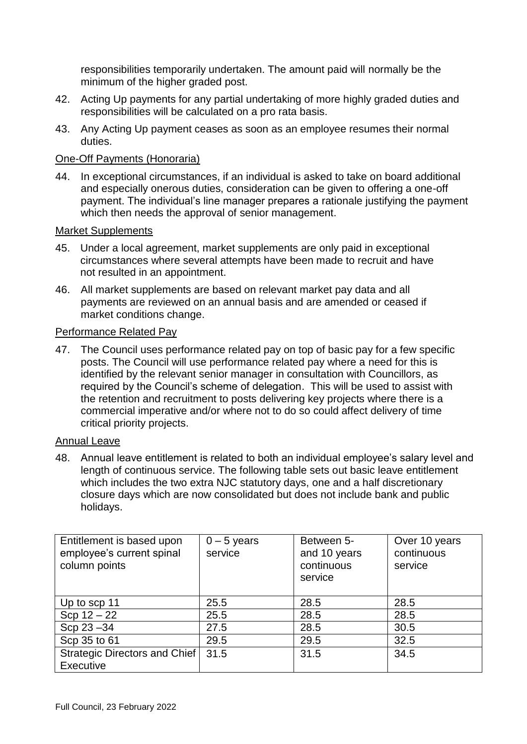responsibilities temporarily undertaken. The amount paid will normally be the minimum of the higher graded post.

- 42. Acting Up payments for any partial undertaking of more highly graded duties and responsibilities will be calculated on a pro rata basis.
- 43. Any Acting Up payment ceases as soon as an employee resumes their normal duties.

# One-Off Payments (Honoraria)

44. In exceptional circumstances, if an individual is asked to take on board additional and especially onerous duties, consideration can be given to offering a one-off payment. The individual's line manager prepares a rationale justifying the payment which then needs the approval of senior management.

#### Market Supplements

- 45. Under a local agreement, market supplements are only paid in exceptional circumstances where several attempts have been made to recruit and have not resulted in an appointment.
- 46. All market supplements are based on relevant market pay data and all payments are reviewed on an annual basis and are amended or ceased if market conditions change.

#### Performance Related Pay

47. The Council uses performance related pay on top of basic pay for a few specific posts. The Council will use performance related pay where a need for this is identified by the relevant senior manager in consultation with Councillors, as required by the Council's scheme of delegation. This will be used to assist with the retention and recruitment to posts delivering key projects where there is a commercial imperative and/or where not to do so could affect delivery of time critical priority projects.

# Annual Leave

48. Annual leave entitlement is related to both an individual employee's salary level and length of continuous service. The following table sets out basic leave entitlement which includes the two extra NJC statutory days, one and a half discretionary closure days which are now consolidated but does not include bank and public holidays.

| Entitlement is based upon<br>employee's current spinal<br>column points | $0 - 5$ years<br>service | Between 5-<br>and 10 years<br>continuous<br>service | Over 10 years<br>continuous<br>service |
|-------------------------------------------------------------------------|--------------------------|-----------------------------------------------------|----------------------------------------|
| Up to scp 11                                                            | 25.5                     | 28.5                                                | 28.5                                   |
| $Scp 12 - 22$                                                           | 25.5                     | 28.5                                                | 28.5                                   |
| Scp 23 - 34                                                             | 27.5                     | 28.5                                                | 30.5                                   |
| Scp 35 to 61                                                            | 29.5                     | 29.5                                                | 32.5                                   |
| Strategic Directors and Chief<br><b>Executive</b>                       | 31.5                     | 31.5                                                | 34.5                                   |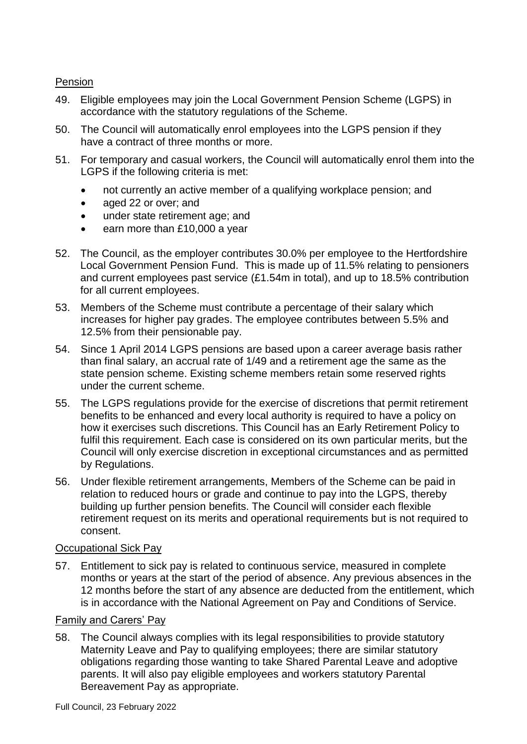# Pension

- 49. Eligible employees may join the Local Government Pension Scheme (LGPS) in accordance with the statutory regulations of the Scheme.
- 50. The Council will automatically enrol employees into the LGPS pension if they have a contract of three months or more.
- 51. For temporary and casual workers, the Council will automatically enrol them into the LGPS if the following criteria is met:
	- not currently an active member of a qualifying workplace pension; and
	- aged 22 or over; and
	- under state retirement age; and
	- earn more than £10,000 a year
- 52. The Council, as the employer contributes 30.0% per employee to the Hertfordshire Local Government Pension Fund. This is made up of 11.5% relating to pensioners and current employees past service (£1.54m in total), and up to 18.5% contribution for all current employees.
- 53. Members of the Scheme must contribute a percentage of their salary which increases for higher pay grades. The employee contributes between 5.5% and 12.5% from their pensionable pay.
- 54. Since 1 April 2014 LGPS pensions are based upon a career average basis rather than final salary, an accrual rate of 1/49 and a retirement age the same as the state pension scheme. Existing scheme members retain some reserved rights under the current scheme.
- 55. The LGPS regulations provide for the exercise of discretions that permit retirement benefits to be enhanced and every local authority is required to have a policy on how it exercises such discretions. This Council has an Early Retirement Policy to fulfil this requirement. Each case is considered on its own particular merits, but the Council will only exercise discretion in exceptional circumstances and as permitted by Regulations.
- 56. Under flexible retirement arrangements, Members of the Scheme can be paid in relation to reduced hours or grade and continue to pay into the LGPS, thereby building up further pension benefits. The Council will consider each flexible retirement request on its merits and operational requirements but is not required to consent.

# Occupational Sick Pay

57. Entitlement to sick pay is related to continuous service, measured in complete months or years at the start of the period of absence. Any previous absences in the 12 months before the start of any absence are deducted from the entitlement, which is in accordance with the National Agreement on Pay and Conditions of Service.

# Family and Carers' Pay

58. The Council always complies with its legal responsibilities to provide statutory Maternity Leave and Pay to qualifying employees; there are similar statutory obligations regarding those wanting to take Shared Parental Leave and adoptive parents. It will also pay eligible employees and workers statutory Parental Bereavement Pay as appropriate.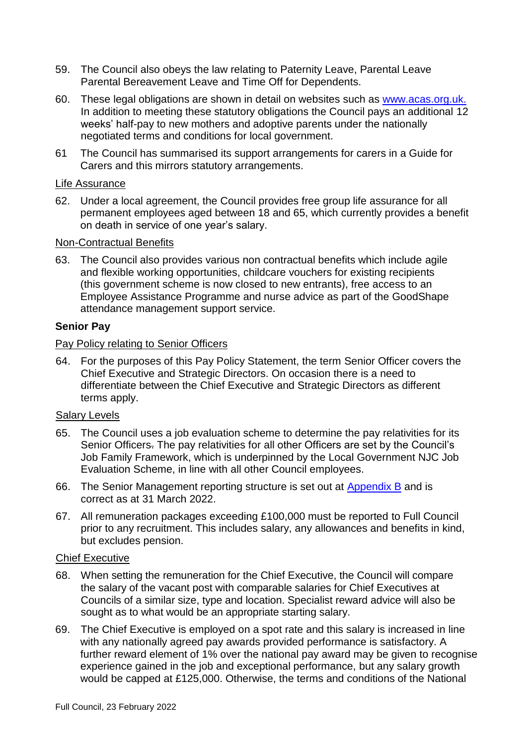- 59. The Council also obeys the law relating to Paternity Leave, Parental Leave Parental Bereavement Leave and Time Off for Dependents.
- 60. These legal obligations are shown in detail on websites such as [www.acas.org.uk.](http://www.acas.org.uk/) In addition to meeting these statutory obligations the Council pays an additional 12 weeks' half-pay to new mothers and adoptive parents under the nationally negotiated terms and conditions for local government.
- 61 The Council has summarised its support arrangements for carers in a Guide for Carers and this mirrors statutory arrangements.

#### Life Assurance

62. Under a local agreement, the Council provides free group life assurance for all permanent employees aged between 18 and 65, which currently provides a benefit on death in service of one year's salary.

# Non-Contractual Benefits

63. The Council also provides various non contractual benefits which include agile and flexible working opportunities, childcare vouchers for existing recipients (this government scheme is now closed to new entrants), free access to an Employee Assistance Programme and nurse advice as part of the GoodShape attendance management support service.

#### **Senior Pay**

#### Pay Policy relating to Senior Officers

64. For the purposes of this Pay Policy Statement, the term Senior Officer covers the Chief Executive and Strategic Directors. On occasion there is a need to differentiate between the Chief Executive and Strategic Directors as different terms apply.

# Salary Levels

- 65. The Council uses a job evaluation scheme to determine the pay relativities for its Senior Officers. The pay relativities for all other Officers are set by the Council's Job Family Framework, which is underpinned by the Local Government NJC Job Evaluation Scheme, in line with all other Council employees.
- 66. The Senior Management reporting structure is set out at [Appendix B](https://www.stalbans.gov.uk/sites/default/files/attachments/Appendix%201B%20Structure%20Chart%20with%20key%20responsibilities%20for%20Senior%20Officers.pdf) and is correct as at 31 March 2022.
- 67. All remuneration packages exceeding £100,000 must be reported to Full Council prior to any recruitment. This includes salary, any allowances and benefits in kind, but excludes pension.

#### Chief Executive

- 68. When setting the remuneration for the Chief Executive, the Council will compare the salary of the vacant post with comparable salaries for Chief Executives at Councils of a similar size, type and location. Specialist reward advice will also be sought as to what would be an appropriate starting salary.
- 69. The Chief Executive is employed on a spot rate and this salary is increased in line with any nationally agreed pay awards provided performance is satisfactory. A further reward element of 1% over the national pay award may be given to recognise experience gained in the job and exceptional performance, but any salary growth would be capped at £125,000. Otherwise, the terms and conditions of the National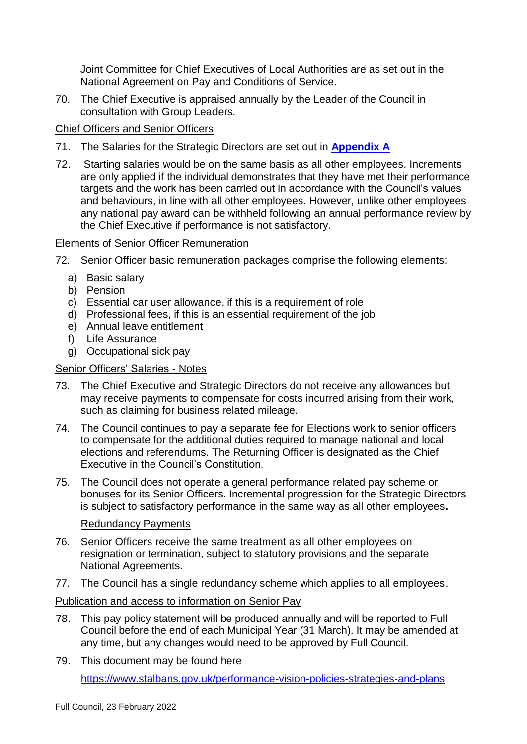Joint Committee for Chief Executives of Local Authorities are as set out in the National Agreement on Pay and Conditions of Service.

70. The Chief Executive is appraised annually by the Leader of the Council in consultation with Group Leaders.

# Chief Officers and Senior Officers

- 71. The Salaries for the Strategic Directors are set out in **[Appendix A](https://www.stalbans.gov.uk/sites/default/files/attachments/Appendix%201A%20Pay%20grade%20structure%20for%20Senior%20Officers%20Council.%20doc.pdf)**
- 72. Starting salaries would be on the same basis as all other employees. Increments are only applied if the individual demonstrates that they have met their performance targets and the work has been carried out in accordance with the Council's values and behaviours, in line with all other employees. However, unlike other employees any national pay award can be withheld following an annual performance review by the Chief Executive if performance is not satisfactory.

# Elements of Senior Officer Remuneration

- 72. Senior Officer basic remuneration packages comprise the following elements:
	- a) Basic salary
	- b) Pension
	- c) Essential car user allowance, if this is a requirement of role
	- d) Professional fees, if this is an essential requirement of the job
	- e) Annual leave entitlement
	- f) Life Assurance
	- g) Occupational sick pay

# Senior Officers' Salaries - Notes

- 73. The Chief Executive and Strategic Directors do not receive any allowances but may receive payments to compensate for costs incurred arising from their work, such as claiming for business related mileage.
- 74. The Council continues to pay a separate fee for Elections work to senior officers to compensate for the additional duties required to manage national and local elections and referendums. The Returning Officer is designated as the Chief Executive in the Council's Constitution.
- 75. The Council does not operate a general performance related pay scheme or bonuses for its Senior Officers. Incremental progression for the Strategic Directors is subject to satisfactory performance in the same way as all other employees**.**

# Redundancy Payments

- 76. Senior Officers receive the same treatment as all other employees on resignation or termination, subject to statutory provisions and the separate National Agreements.
- 77. The Council has a single redundancy scheme which applies to all employees.

# Publication and access to information on Senior Pay

- 78. This pay policy statement will be produced annually and will be reported to Full Council before the end of each Municipal Year (31 March). It may be amended at any time, but any changes would need to be approved by Full Council.
- 79. This document may be found here <https://www.stalbans.gov.uk/performance-vision-policies-strategies-and-plans>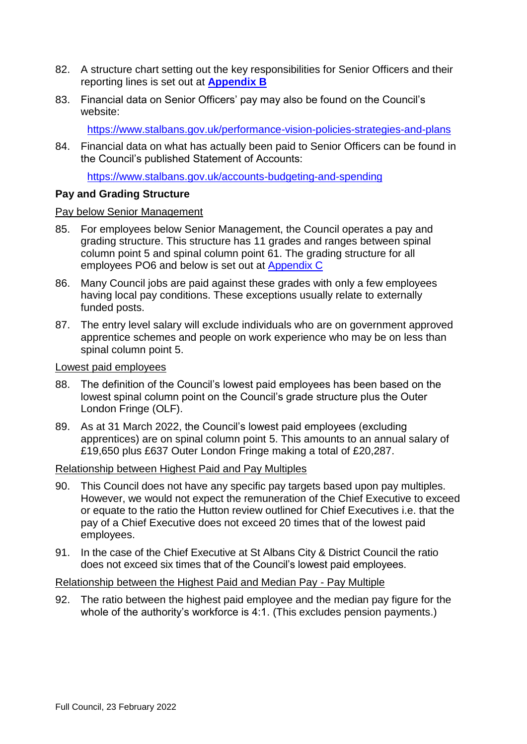- 82. A structure chart setting out the key responsibilities for Senior Officers and their reporting lines is set out at **[Appendix B](https://www.stalbans.gov.uk/sites/default/files/attachments/Appendix%201B%20Structure%20Chart%20with%20key%20responsibilities%20for%20Senior%20Officers.pdf)**
- 83. Financial data on Senior Officers' pay may also be found on the Council's website:

<https://www.stalbans.gov.uk/performance-vision-policies-strategies-and-plans>

84. Financial data on what has actually been paid to Senior Officers can be found in the Council's published Statement of Accounts:

<https://www.stalbans.gov.uk/accounts-budgeting-and-spending>

#### **Pay and Grading Structure**

#### Pay below Senior Management

- 85. For employees below Senior Management, the Council operates a pay and grading structure. This structure has 11 grades and ranges between spinal column point 5 and spinal column point 61. The grading structure for all employees PO6 and below is set out at [Appendix C](https://www.stalbans.gov.uk/sites/default/files/attachments/Appendix%201C%20Pay%20Grade%20Structure%20upto%20and%20inc%20PO6.pdf)
- 86. Many Council jobs are paid against these grades with only a few employees having local pay conditions. These exceptions usually relate to externally funded posts.
- 87. The entry level salary will exclude individuals who are on government approved apprentice schemes and people on work experience who may be on less than spinal column point 5.

Lowest paid employees

- 88. The definition of the Council's lowest paid employees has been based on the lowest spinal column point on the Council's grade structure plus the Outer London Fringe (OLF).
- 89. As at 31 March 2022, the Council's lowest paid employees (excluding apprentices) are on spinal column point 5. This amounts to an annual salary of £19,650 plus £637 Outer London Fringe making a total of £20,287.

#### Relationship between Highest Paid and Pay Multiples

- 90. This Council does not have any specific pay targets based upon pay multiples. However, we would not expect the remuneration of the Chief Executive to exceed or equate to the ratio the Hutton review outlined for Chief Executives i.e. that the pay of a Chief Executive does not exceed 20 times that of the lowest paid employees.
- 91. In the case of the Chief Executive at St Albans City & District Council the ratio does not exceed six times that of the Council's lowest paid employees.

#### Relationship between the Highest Paid and Median Pay - Pay Multiple

92. The ratio between the highest paid employee and the median pay figure for the whole of the authority's workforce is 4:1. (This excludes pension payments.)